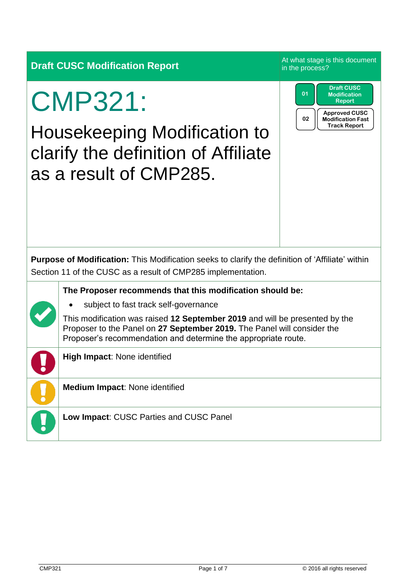| <b>Draft CUSC Modification Report</b> |
|---------------------------------------|
| ________                              |

At what stage is this document in the process?

> **Approved CUSC Modification Fast Track Report**

**Draft CUSC Modification Report**

**02**

**01**

# CMP321:

Housekeeping Modification to clarify the definition of Affiliate as a result of CMP285.

| <b>Purpose of Modification:</b> This Modification seeks to clarify the definition of 'Affiliate' within |  |
|---------------------------------------------------------------------------------------------------------|--|
| Section 11 of the CUSC as a result of CMP285 implementation.                                            |  |

**The Proposer recommends that this modification should be:**

- - subject to fast track self-governance

This modification was raised **12 September 2019** and will be presented by the Proposer to the Panel on **27 September 2019.** The Panel will consider the Proposer's recommendation and determine the appropriate route.

**High Impact**: None identified

**Medium Impact**: None identified

**Low Impact**: CUSC Parties and CUSC Panel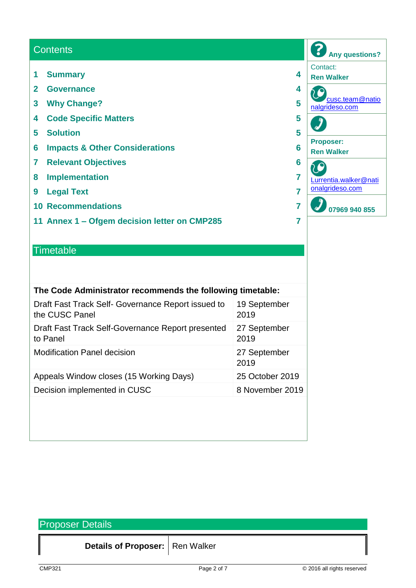#### **Any questions? Contents** Contact: **1 Summary 4 Ren Walker 2 Governance 4** [cusc.team@natio](mailto:cusc.team@nationalgrideso.com) **3 Why Change? 5** [nalgrideso.com](mailto:cusc.team@nationalgrideso.com) **4 Code Specific Matters 5**  $\int$ **5 Solution 5 Proposer: 6 Impacts & Other Considerations 6 Ren Walker 7 Relevant Objectives 6** 0 **8 Implementation 7** [Lurrentia.walker@nati](mailto:Lurrentia.walker@nationalgrideso.com) [onalgrideso.com](mailto:Lurrentia.walker@nationalgrideso.com) **9 Legal Text 7 07969 940 855 10 Recommendations 7 11 Annex 1 – Ofgem decision letter on CMP285 7**

### **Timetable**

| The Code Administrator recommends the following timetable:           |                      |  |  |
|----------------------------------------------------------------------|----------------------|--|--|
| Draft Fast Track Self- Governance Report issued to<br>the CUSC Panel | 19 September<br>2019 |  |  |
| Draft Fast Track Self-Governance Report presented<br>to Panel        | 27 September<br>2019 |  |  |
| <b>Modification Panel decision</b>                                   | 27 September<br>2019 |  |  |
| Appeals Window closes (15 Working Days)                              | 25 October 2019      |  |  |
| Decision implemented in CUSC                                         | 8 November 2019      |  |  |
|                                                                      |                      |  |  |

| <b>Proposer Details</b> |                                   |             |                            |  |  |  |
|-------------------------|-----------------------------------|-------------|----------------------------|--|--|--|
|                         | Details of Proposer:   Ren Walker |             |                            |  |  |  |
| CMP321                  |                                   | Page 2 of 7 | © 2016 all rights reserved |  |  |  |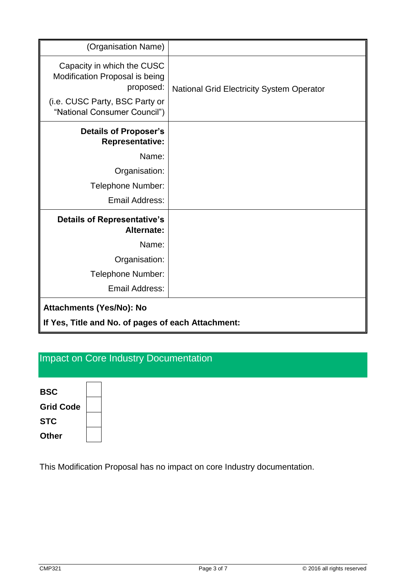| (Organisation Name)                                                       |                                                  |  |  |
|---------------------------------------------------------------------------|--------------------------------------------------|--|--|
| Capacity in which the CUSC<br>Modification Proposal is being<br>proposed: | <b>National Grid Electricity System Operator</b> |  |  |
| (i.e. CUSC Party, BSC Party or<br>"National Consumer Council")            |                                                  |  |  |
| <b>Details of Proposer's</b><br><b>Representative:</b>                    |                                                  |  |  |
| Name:                                                                     |                                                  |  |  |
| Organisation:                                                             |                                                  |  |  |
| Telephone Number:                                                         |                                                  |  |  |
| Email Address:                                                            |                                                  |  |  |
| <b>Details of Representative's</b><br>Alternate:                          |                                                  |  |  |
| Name:                                                                     |                                                  |  |  |
| Organisation:                                                             |                                                  |  |  |
| Telephone Number:                                                         |                                                  |  |  |
| Email Address:                                                            |                                                  |  |  |
| <b>Attachments (Yes/No): No</b>                                           |                                                  |  |  |
| If Yes, Title and No. of pages of each Attachment:                        |                                                  |  |  |

# Impact on Core Industry Documentation

| <b>BSC</b>       |  |
|------------------|--|
|                  |  |
| <b>Grid Code</b> |  |
| <b>STC</b>       |  |
| <b>Other</b>     |  |

This Modification Proposal has no impact on core Industry documentation.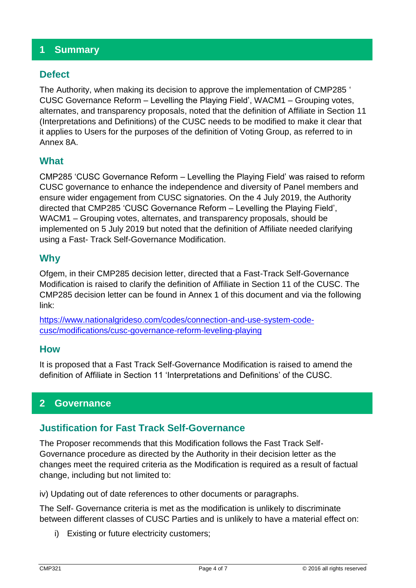#### **1 Summary**

#### **Defect**

The Authority, when making its decision to approve the implementation of CMP285 ' CUSC Governance Reform – Levelling the Playing Field', WACM1 – Grouping votes, alternates, and transparency proposals, noted that the definition of Affiliate in Section 11 (Interpretations and Definitions) of the CUSC needs to be modified to make it clear that it applies to Users for the purposes of the definition of Voting Group, as referred to in Annex 8A.

#### **What**

CMP285 'CUSC Governance Reform – Levelling the Playing Field' was raised to reform CUSC governance to enhance the independence and diversity of Panel members and ensure wider engagement from CUSC signatories. On the 4 July 2019, the Authority directed that CMP285 'CUSC Governance Reform – Levelling the Playing Field', WACM1 – Grouping votes, alternates, and transparency proposals, should be implemented on 5 July 2019 but noted that the definition of Affiliate needed clarifying using a Fast- Track Self-Governance Modification.

#### **Why**

Ofgem, in their CMP285 decision letter, directed that a Fast-Track Self-Governance Modification is raised to clarify the definition of Affiliate in Section 11 of the CUSC. The CMP285 decision letter can be found in Annex 1 of this document and via the following link:

[https://www.nationalgrideso.com/codes/connection-and-use-system-code](https://www.nationalgrideso.com/codes/connection-and-use-system-code-cusc/modifications/cusc-governance-reform-leveling-playing)[cusc/modifications/cusc-governance-reform-leveling-playing](https://www.nationalgrideso.com/codes/connection-and-use-system-code-cusc/modifications/cusc-governance-reform-leveling-playing)

#### **How**

It is proposed that a Fast Track Self-Governance Modification is raised to amend the definition of Affiliate in Section 11 'Interpretations and Definitions' of the CUSC.

#### **2 Governance**

#### **Justification for Fast Track Self-Governance**

The Proposer recommends that this Modification follows the Fast Track Self-Governance procedure as directed by the Authority in their decision letter as the changes meet the required criteria as the Modification is required as a result of factual change, including but not limited to:

iv) Updating out of date references to other documents or paragraphs.

The Self- Governance criteria is met as the modification is unlikely to discriminate between different classes of CUSC Parties and is unlikely to have a material effect on:

i) Existing or future electricity customers;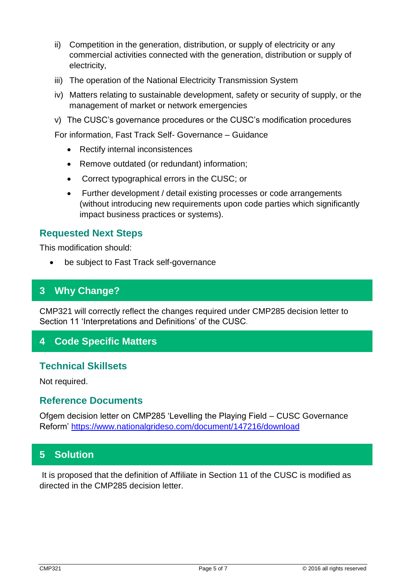- ii) Competition in the generation, distribution, or supply of electricity or any commercial activities connected with the generation, distribution or supply of electricity,
- iii) The operation of the National Electricity Transmission System
- iv) Matters relating to sustainable development, safety or security of supply, or the management of market or network emergencies
- v) The CUSC's governance procedures or the CUSC's modification procedures

For information, Fast Track Self- Governance – Guidance

- Rectify internal inconsistences
- Remove outdated (or redundant) information;
- Correct typographical errors in the CUSC; or
- Further development / detail existing processes or code arrangements (without introducing new requirements upon code parties which significantly impact business practices or systems).

#### **Requested Next Steps**

This modification should:

be subject to Fast Track self-governance

#### **3 Why Change?**

CMP321 will correctly reflect the changes required under CMP285 decision letter to Section 11 'Interpretations and Definitions' of the CUSC*.* 

#### **4 Code Specific Matters**

#### **Technical Skillsets**

Not required.

#### **Reference Documents**

Ofgem decision letter on CMP285 'Levelling the Playing Field – CUSC Governance Reform'<https://www.nationalgrideso.com/document/147216/download>

#### **5 Solution**

It is proposed that the definition of Affiliate in Section 11 of the CUSC is modified as directed in the CMP285 decision letter.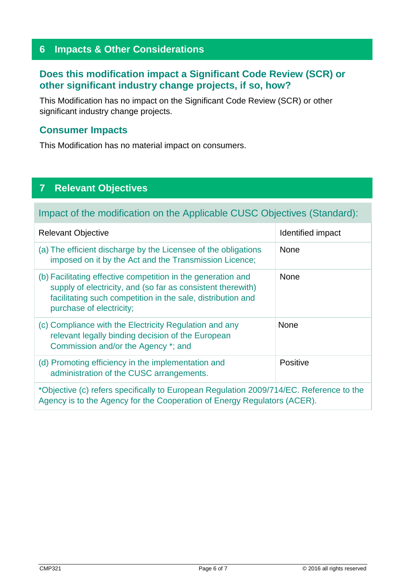#### **6 Impacts & Other Considerations**

#### **Does this modification impact a Significant Code Review (SCR) or other significant industry change projects, if so, how?**

This Modification has no impact on the Significant Code Review (SCR) or other significant industry change projects.

#### **Consumer Impacts**

This Modification has no material impact on consumers.

# **7 Relevant Objectives**

Impact of the modification on the Applicable CUSC Objectives (Standard):

| <b>Relevant Objective</b>                                                                                                                                                                                              | Identified impact |  |
|------------------------------------------------------------------------------------------------------------------------------------------------------------------------------------------------------------------------|-------------------|--|
| (a) The efficient discharge by the Licensee of the obligations<br>imposed on it by the Act and the Transmission Licence;                                                                                               | <b>None</b>       |  |
| (b) Facilitating effective competition in the generation and<br>supply of electricity, and (so far as consistent therewith)<br>facilitating such competition in the sale, distribution and<br>purchase of electricity; | <b>None</b>       |  |
| (c) Compliance with the Electricity Regulation and any<br>relevant legally binding decision of the European<br>Commission and/or the Agency *; and                                                                     | <b>None</b>       |  |
| (d) Promoting efficiency in the implementation and<br>administration of the CUSC arrangements.                                                                                                                         | Positive          |  |
| *Objective (c) refers specifically to European Regulation 2009/714/EC. Reference to the<br>Agency is to the Agency for the Cooperation of Energy Regulators (ACER).                                                    |                   |  |